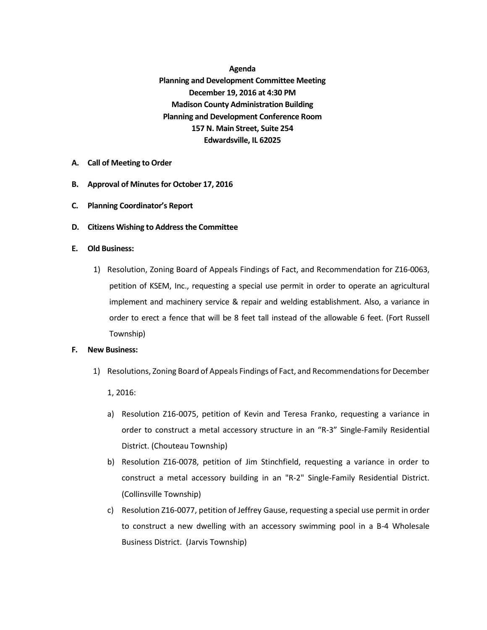**Agenda Planning and Development Committee Meeting December 19, 2016 at 4:30 PM Madison County Administration Building Planning and Development Conference Room 157 N. Main Street, Suite 254 Edwardsville, IL 62025**

- **A. Call of Meeting to Order**
- **B.** Approval of Minutes for October 17, 2016
- **C. Planning Coordinator's Report**
- **D. Citizens Wishing to Address the Committee**
- **E. Old Business:**
	- 1) Resolution, Zoning Board of Appeals Findings of Fact, and Recommendation for Z16-0063, petition of KSEM, Inc., requesting a special use permit in order to operate an agricultural implement and machinery service & repair and welding establishment. Also, a variance in order to erect a fence that will be 8 feet tall instead of the allowable 6 feet. (Fort Russell Township)

## **F. New Business:**

1) Resolutions, Zoning Board of Appeals Findings of Fact, and Recommendations for December

1, 2016:

- a) Resolution Z16-0075, petition of Kevin and Teresa Franko, requesting a variance in order to construct a metal accessory structure in an "R-3" Single-Family Residential District. (Chouteau Township)
- b) Resolution Z16-0078, petition of Jim Stinchfield, requesting a variance in order to construct a metal accessory building in an "R-2" Single-Family Residential District. (Collinsville Township)
- c) Resolution Z16-0077, petition of Jeffrey Gause, requesting a special use permit in order to construct a new dwelling with an accessory swimming pool in a B-4 Wholesale Business District. (Jarvis Township)